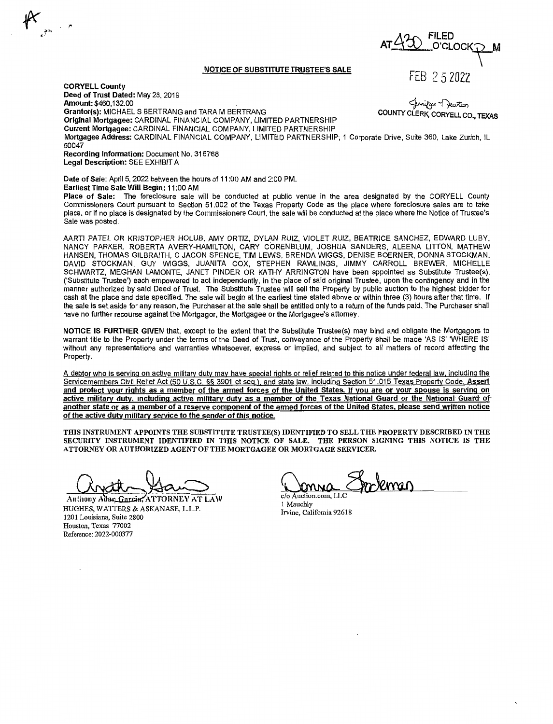## **NOTICE OF SUBSTITUTE TRUSTEE'S SALE**

**A 'J...0-.** FILED  $O'CD$   $O$ FEB 2 5 2022

**CORYELL County Deed of Trust Dated:** May 28, 2019 **Amount:** \$460,132.00 **Grantor(s):** MICHAELS BERTRANG and TARA M BERTRANG **Original Mortgagee:** CARDINAL FINANCIAL COMPANY, LIMITED PARTNERSHIP **Current Mortgagee:** CARDINAL FINANCIAL COMPANY, LIMITED PARTNERSHIP ~--f)w-'tc0 **COUNTY** CLERK, CORYELL CO., **TEXAS Mortgagee Address:** CARDINAL FINANCIAL COMPANY, LIMITED PARTNERSHIP, 1 Corporate Drive, Suite 360, Lake Zurich, IL 60047 **Recording Information:** Document No. 316768 **Legal Description:** SEE EXHIBIT A

**Date of Sale:** April 5, 2022 between the hours of 11 :00 AM and 2:00 PM. **Earliest Time Sale Will Begin: 11:00 AM** 

**Place of Sale:** The foreclosure sale will be conducted at public venue in the area designated by the CORYELL County Commissioners Court pursuant to Section 51.002 of the Texas Property Code as the place where foreclosure sales are to take place, or if no place is designated by the Commissioners Court, the sale will be conducted at the place where the Notice of Trustee's Sale was posted.

AARTI PATEL OR KRISTOPHER HOLUB, AMY ORTIZ, DYLAN RUIZ, VIOLET RUIZ, BEATRICE SANCHEZ, EDWARD LUBY, NANCY PARKER, ROBERTA AVERY-HAMILTON, CARY CORENBLUM, JOSHUA SANDERS, ALEENA LITTON, MATHEW HANSEN, THOMAS GILBRAITH, C JACON SPENCE, TIM LEWIS, BRENDA WIGGS, DENISE BOERNER, DONNA STOCKMAN, DAVID STOCKMAN, GUY WIGGS, JUANITA COX, STEPHEN RAWLINGS, JIMMY CARROLL BREWER, MICHELLE SCHWARTZ, MEGHAN LAMONTE, JANET PINDER OR KATHY ARRINGTON have been appointed as Substitute Trustee(s), ('Substitute Trustee') each empowered to act independently, in the place of said original Trustee, upon the contingency and in the manner authorized by said Deed of Trust. The Substitute Trustee will sell the Property by public auction to the highest bidder for cash at the place and date specified. The sale will begin at the earliest time stated above or within three (3) hours after that time. If the sale is set aside for any reason, the Purchaser at the sale shall be entitled only to a return of the funds paid. The Purchaser shall have no further recourse against the Mortgagor, the Mortgagee or the Mortgagee's attorney.

**NOTICE IS FURTHER GIVEN** that, except to the extent that the Substitute Trustee(s) may bind and obligate the Mortgagors to warrant title to the Property under the terms of the Deed of Trust, conveyance of the Property shall be made 'AS IS' 'WHERE IS' without any representations and warranties whatsoever, express or implied, and subject to all matters of record affecting the Property.

A debtor who is serving on active military duty may have special rights or relief related to this notice under federal law, including the Servicemembers Civil Relief Act (50 U.S.C. §§ 3901 et seq.), and state law, including Section 51.015 Texas Property Code. **Assert and protect your rights as a member of the armed forces of the United States. If you are or your spouse is serving on active military duty, including active military duty as a member of the Texas National Guard or the National Guard· of another state or as a member of a reserve component of the armed forces of the United States, please send written notice of the active duty military service to the sender of this notice.** 

**THIS INSTRUMENT APPOINTS THE SUBSTITUTE TRUSTEE(S) IDENTIFIED TO SELL THE PROPERTY DESCRIBED IN THE**  SECURITY INSTRUMENT IDENTIFIED IN THIS NOTICE OF SALE. THE PERSON SIGNING THIS NOTICE IS THE **ATTORNEY OR AUTHORIZED AGENT OF THE MORTGAGEE OR MORTGAGE SERVICER.** 

**Anthony;\** . **,ATTORNE\'ATLAW**  HUGHES, W ATIERS & ASKANASE, L.L.P. 1201 Louisiana, Suite 2800 Houston, Texas 77002 Reference: 2022-000377

c/o Auction.com, LLC

1 Mauchly Irvine, California 92618